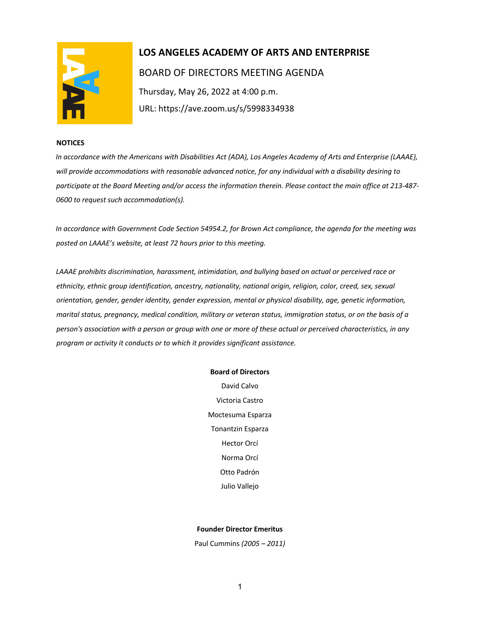

# **LOS ANGELES ACADEMY OF ARTS AND ENTERPRISE**  BOARD OF DIRECTORS MEETING AGENDA Thursday, May 26, 2022 at 4:00 p.m. URL: https://ave.zoom.us/s/5998334938

### **NOTICES**

*In accordance with the Americans with Disabilities Act (ADA), Los Angeles Academy of Arts and Enterprise (LAAAE), will provide accommodations with reasonable advanced notice, for any individual with a disability desiring to participate at the Board Meeting and/or access the information therein. Please contact the main office at 213-487- 0600 to request such accommodation(s).* 

*In accordance with Government Code Section 54954.2, for Brown Act compliance, the agenda for the meeting was posted on LAAAE's website, at least 72 hours prior to this meeting.* 

*LAAAE prohibits discrimination, harassment, intimidation, and bullying based on actual or perceived race or ethnicity, ethnic group identification, ancestry, nationality, national origin, religion, color, creed, sex, sexual orientation, gender, gender identity, gender expression, mental or physical disability, age, genetic information, marital status, pregnancy, medical condition, military or veteran status, immigration status, or on the basis of a person's association with a person or group with one or more of these actual or perceived characteristics, in any program or activity it conducts or to which it provides significant assistance.* 

### **Board of Directors**

David Calvo Victoria Castro Moctesuma Esparza Tonantzin Esparza Hector Orcí Norma Orcí Otto Padrón Julio Vallejo

### **Founder Director Emeritus**

Paul Cummins *(2005 – 2011)*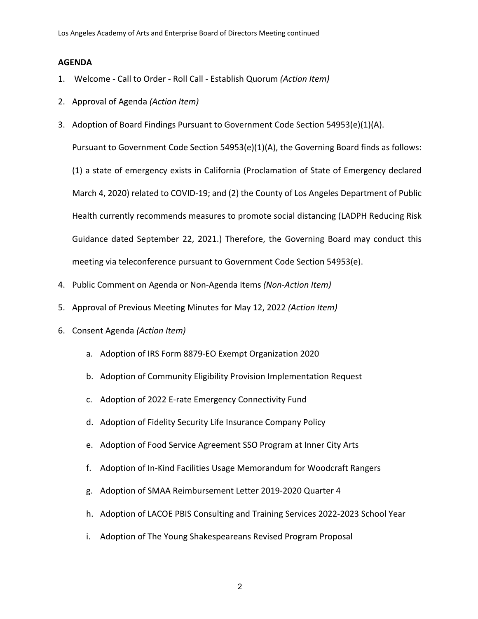## **AGENDA**

- 1. Welcome Call to Order Roll Call Establish Quorum *(Action Item)*
- 2. Approval of Agenda *(Action Item)*
- 3. Adoption of Board Findings Pursuant to Government Code Section 54953(e)(1)(A).

Pursuant to Government Code Section 54953(e)(1)(A), the Governing Board finds as follows:

(1) a state of emergency exists in California (Proclamation of State of Emergency declared March 4, 2020) related to COVID-19; and (2) the County of Los Angeles Department of Public Health currently recommends measures to promote social distancing (LADPH Reducing Risk Guidance dated September 22, 2021.) Therefore, the Governing Board may conduct this meeting via teleconference pursuant to Government Code Section 54953(e).

- 4. Public Comment on Agenda or Non-Agenda Items *(Non-Action Item)*
- 5. Approval of Previous Meeting Minutes for May 12, 2022 *(Action Item)*
- 6. Consent Agenda *(Action Item)*
	- a. Adoption of IRS Form 8879-EO Exempt Organization 2020
	- b. Adoption of Community Eligibility Provision Implementation Request
	- c. Adoption of 2022 E-rate Emergency Connectivity Fund
	- d. Adoption of Fidelity Security Life Insurance Company Policy
	- e. Adoption of Food Service Agreement SSO Program at Inner City Arts
	- f. Adoption of In-Kind Facilities Usage Memorandum for Woodcraft Rangers
	- g. Adoption of SMAA Reimbursement Letter 2019-2020 Quarter 4
	- h. Adoption of LACOE PBIS Consulting and Training Services 2022-2023 School Year
	- i. Adoption of The Young Shakespeareans Revised Program Proposal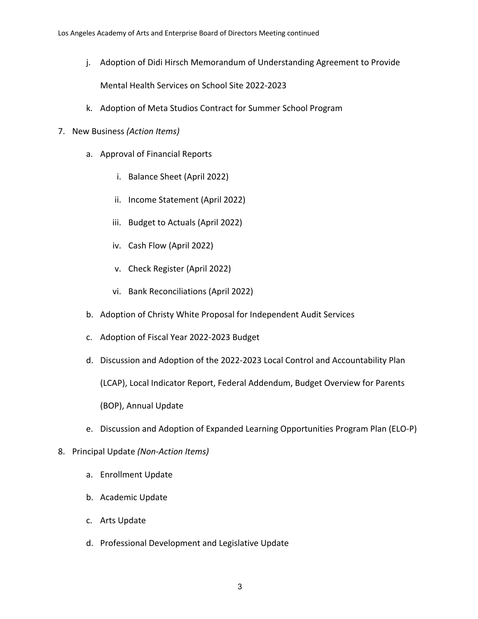j. Adoption of Didi Hirsch Memorandum of Understanding Agreement to Provide

Mental Health Services on School Site 2022-2023

- k. Adoption of Meta Studios Contract for Summer School Program
- 7. New Business *(Action Items)*
	- a. Approval of Financial Reports
		- i. Balance Sheet (April 2022)
		- ii. Income Statement (April 2022)
		- iii. Budget to Actuals (April 2022)
		- iv. Cash Flow (April 2022)
		- v. Check Register (April 2022)
		- vi. Bank Reconciliations (April 2022)
	- b. Adoption of Christy White Proposal for Independent Audit Services
	- c. Adoption of Fiscal Year 2022-2023 Budget
	- d. Discussion and Adoption of the 2022-2023 Local Control and Accountability Plan

(LCAP), Local Indicator Report, Federal Addendum, Budget Overview for Parents

(BOP), Annual Update

- e. Discussion and Adoption of Expanded Learning Opportunities Program Plan (ELO-P)
- 8. Principal Update *(Non-Action Items)*
	- a. Enrollment Update
	- b. Academic Update
	- c. Arts Update
	- d. Professional Development and Legislative Update